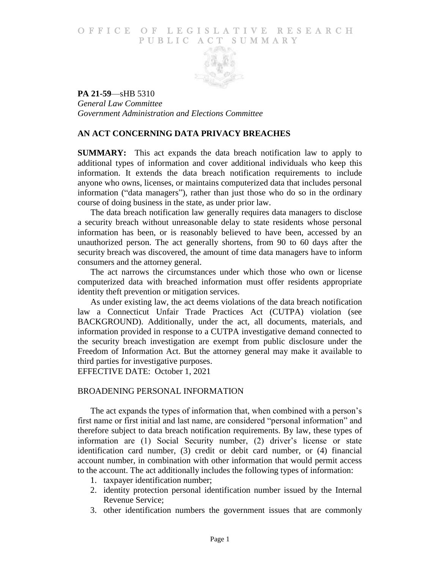# O F FICE OF LEGISLATIVE RESEARCH PUBLIC ACT SUMMARY



**PA 21-59**—sHB 5310 *General Law Committee Government Administration and Elections Committee*

# **AN ACT CONCERNING DATA PRIVACY BREACHES**

**SUMMARY:** This act expands the data breach notification law to apply to additional types of information and cover additional individuals who keep this information. It extends the data breach notification requirements to include anyone who owns, licenses, or maintains computerized data that includes personal information ("data managers"), rather than just those who do so in the ordinary course of doing business in the state, as under prior law.

The data breach notification law generally requires data managers to disclose a security breach without unreasonable delay to state residents whose personal information has been, or is reasonably believed to have been, accessed by an unauthorized person. The act generally shortens, from 90 to 60 days after the security breach was discovered, the amount of time data managers have to inform consumers and the attorney general.

The act narrows the circumstances under which those who own or license computerized data with breached information must offer residents appropriate identity theft prevention or mitigation services.

As under existing law, the act deems violations of the data breach notification law a Connecticut Unfair Trade Practices Act (CUTPA) violation (see BACKGROUND). Additionally, under the act, all documents, materials, and information provided in response to a CUTPA investigative demand connected to the security breach investigation are exempt from public disclosure under the Freedom of Information Act. But the attorney general may make it available to third parties for investigative purposes.

EFFECTIVE DATE: October 1, 2021

## BROADENING PERSONAL INFORMATION

The act expands the types of information that, when combined with a person's first name or first initial and last name, are considered "personal information" and therefore subject to data breach notification requirements. By law, these types of information are (1) Social Security number, (2) driver's license or state identification card number, (3) credit or debit card number, or (4) financial account number, in combination with other information that would permit access to the account. The act additionally includes the following types of information:

- 1. taxpayer identification number;
- 2. identity protection personal identification number issued by the Internal Revenue Service;
- 3. other identification numbers the government issues that are commonly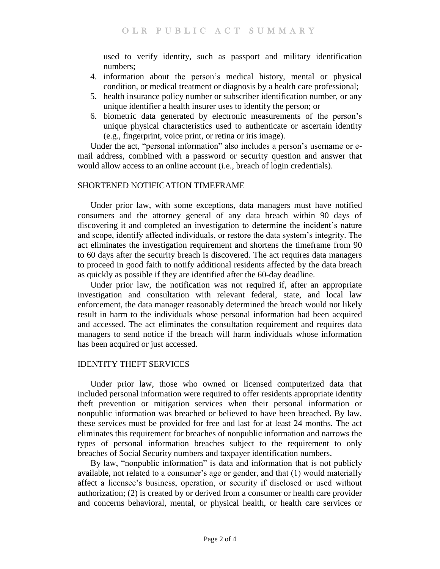used to verify identity, such as passport and military identification numbers;

- 4. information about the person's medical history, mental or physical condition, or medical treatment or diagnosis by a health care professional;
- 5. health insurance policy number or subscriber identification number, or any unique identifier a health insurer uses to identify the person; or
- 6. biometric data generated by electronic measurements of the person's unique physical characteristics used to authenticate or ascertain identity (e.g., fingerprint, voice print, or retina or iris image).

Under the act, "personal information" also includes a person's username or email address, combined with a password or security question and answer that would allow access to an online account (i.e., breach of login credentials).

# SHORTENED NOTIFICATION TIMEFRAME

Under prior law, with some exceptions, data managers must have notified consumers and the attorney general of any data breach within 90 days of discovering it and completed an investigation to determine the incident's nature and scope, identify affected individuals, or restore the data system's integrity. The act eliminates the investigation requirement and shortens the timeframe from 90 to 60 days after the security breach is discovered. The act requires data managers to proceed in good faith to notify additional residents affected by the data breach as quickly as possible if they are identified after the 60-day deadline.

Under prior law, the notification was not required if, after an appropriate investigation and consultation with relevant federal, state, and local law enforcement, the data manager reasonably determined the breach would not likely result in harm to the individuals whose personal information had been acquired and accessed. The act eliminates the consultation requirement and requires data managers to send notice if the breach will harm individuals whose information has been acquired or just accessed.

# IDENTITY THEFT SERVICES

Under prior law, those who owned or licensed computerized data that included personal information were required to offer residents appropriate identity theft prevention or mitigation services when their personal information or nonpublic information was breached or believed to have been breached. By law, these services must be provided for free and last for at least 24 months. The act eliminates this requirement for breaches of nonpublic information and narrows the types of personal information breaches subject to the requirement to only breaches of Social Security numbers and taxpayer identification numbers.

By law, "nonpublic information" is data and information that is not publicly available, not related to a consumer's age or gender, and that (1) would materially affect a licensee's business, operation, or security if disclosed or used without authorization; (2) is created by or derived from a consumer or health care provider and concerns behavioral, mental, or physical health, or health care services or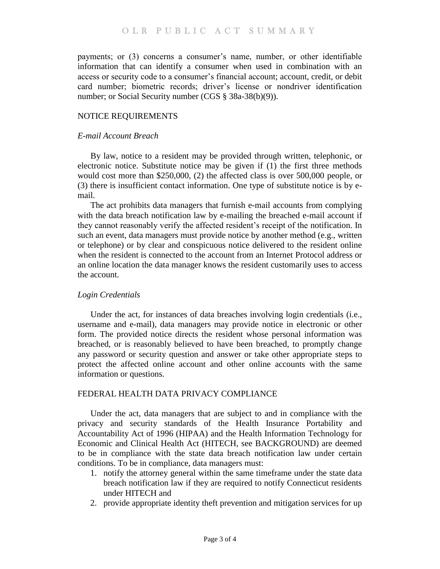payments; or (3) concerns a consumer's name, number, or other identifiable information that can identify a consumer when used in combination with an access or security code to a consumer's financial account; account, credit, or debit card number; biometric records; driver's license or nondriver identification number; or Social Security number (CGS § 38a-38(b)(9)).

## NOTICE REQUIREMENTS

#### *E-mail Account Breach*

By law, notice to a resident may be provided through written, telephonic, or electronic notice. Substitute notice may be given if (1) the first three methods would cost more than \$250,000, (2) the affected class is over 500,000 people, or (3) there is insufficient contact information. One type of substitute notice is by email.

The act prohibits data managers that furnish e-mail accounts from complying with the data breach notification law by e-mailing the breached e-mail account if they cannot reasonably verify the affected resident's receipt of the notification. In such an event, data managers must provide notice by another method (e.g., written or telephone) or by clear and conspicuous notice delivered to the resident online when the resident is connected to the account from an Internet Protocol address or an online location the data manager knows the resident customarily uses to access the account.

## *Login Credentials*

Under the act, for instances of data breaches involving login credentials (i.e., username and e-mail), data managers may provide notice in electronic or other form. The provided notice directs the resident whose personal information was breached, or is reasonably believed to have been breached, to promptly change any password or security question and answer or take other appropriate steps to protect the affected online account and other online accounts with the same information or questions.

## FEDERAL HEALTH DATA PRIVACY COMPLIANCE

Under the act, data managers that are subject to and in compliance with the privacy and security standards of the Health Insurance Portability and Accountability Act of 1996 (HIPAA) and the Health Information Technology for Economic and Clinical Health Act (HITECH, see BACKGROUND) are deemed to be in compliance with the state data breach notification law under certain conditions. To be in compliance, data managers must:

- 1. notify the attorney general within the same timeframe under the state data breach notification law if they are required to notify Connecticut residents under HITECH and
- 2. provide appropriate identity theft prevention and mitigation services for up